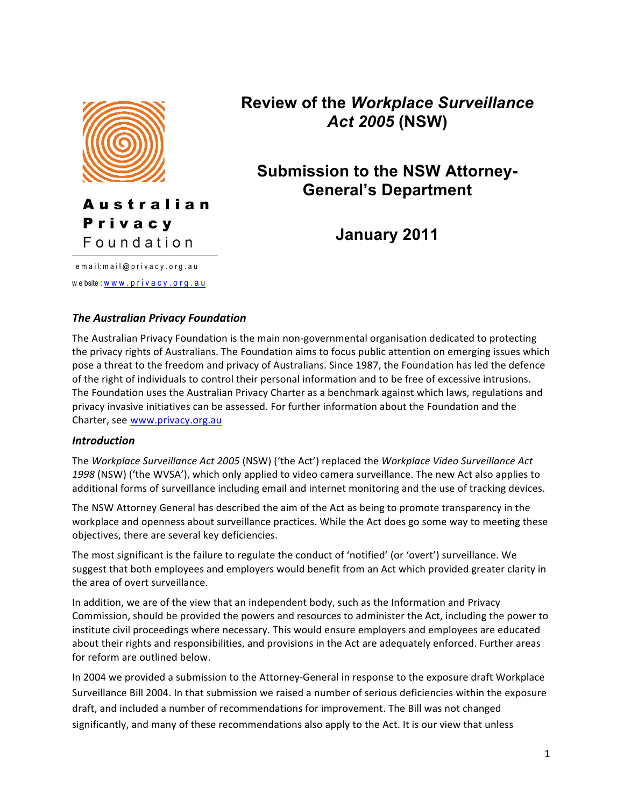

**Australian** Privacy Foundation

e m a i l: m a i l @ p r i v a c y . o r g . a u we bsite : www.privacy.org.au **Review of the** *Workplace Surveillance Act 2005* **(NSW)**

# **Submission to the NSW Attorney-General's Department**

**January 2011**

# *The!Australian!Privacy!Foundation*

The Australian Privacy Foundation is the main non-governmental organisation dedicated to protecting the privacy rights of Australians. The Foundation aims to focus public attention on emerging issues which pose a threat to the freedom and privacy of Australians. Since 1987, the Foundation has led the defence of the right of individuals to control their personal information and to be free of excessive intrusions. The Foundation uses the Australian Privacy Charter as a benchmark against which laws, regulations and privacy invasive initiatives can be assessed. For further information about the Foundation and the Charter, see www.privacy.org.au

#### *Introduction*

The Workplace Surveillance Act 2005 (NSW) ('the Act') replaced the Workplace Video Surveillance Act 1998 (NSW) ('the WVSA'), which only applied to video camera surveillance. The new Act also applies to additional forms of surveillance including email and internet monitoring and the use of tracking devices.

The NSW Attorney General has described the aim of the Act as being to promote transparency in the workplace and openness about surveillance practices. While the Act does go some way to meeting these objectives, there are several key deficiencies.

The most significant is the failure to regulate the conduct of 'notified' (or 'overt') surveillance. We suggest that both employees and employers would benefit from an Act which provided greater clarity in the area of overt surveillance.

In addition, we are of the view that an independent body, such as the Information and Privacy Commission, should be provided the powers and resources to administer the Act, including the power to institute civil proceedings where necessary. This would ensure employers and employees are educated about their rights and responsibilities, and provisions in the Act are adequately enforced. Further areas for reform are outlined below.

In 2004 we provided a submission to the Attorney-General in response to the exposure draft Workplace Surveillance Bill 2004. In that submission we raised a number of serious deficiencies within the exposure draft, and included a number of recommendations for improvement. The Bill was not changed significantly, and many of these recommendations also apply to the Act. It is our view that unless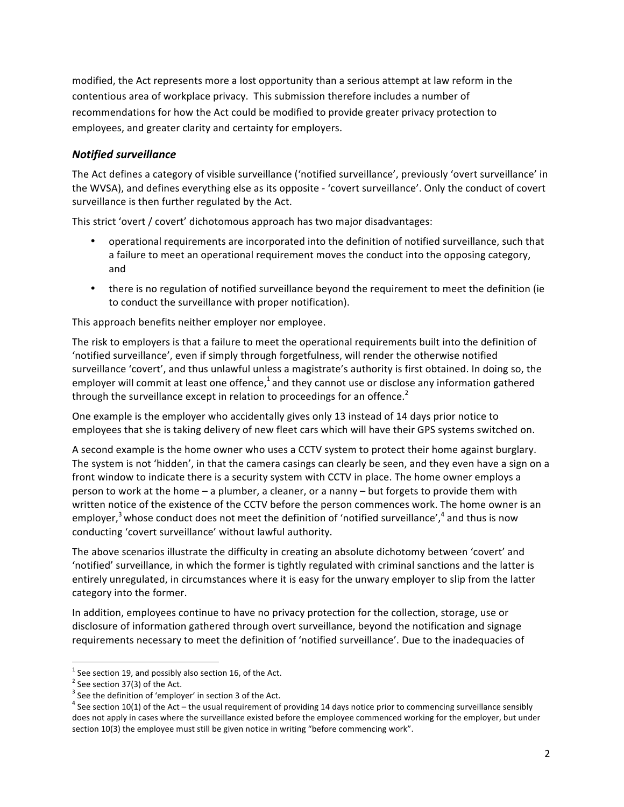modified, the Act represents more a lost opportunity than a serious attempt at law reform in the contentious area of workplace privacy. This submission therefore includes a number of recommendations for how the Act could be modified to provide greater privacy protection to employees, and greater clarity and certainty for employers.

## *Notified!surveillance*

The Act defines a category of visible surveillance ('notified surveillance', previously 'overt surveillance' in the WVSA), and defines everything else as its opposite - 'covert surveillance'. Only the conduct of covert surveillance is then further regulated by the Act.

This strict 'overt / covert' dichotomous approach has two major disadvantages:

- operational requirements are incorporated into the definition of notified surveillance, such that a failure to meet an operational requirement moves the conduct into the opposing category, and
- there is no regulation of notified surveillance beyond the requirement to meet the definition (ie to conduct the surveillance with proper notification).

This approach benefits neither employer nor employee.

The risk to employers is that a failure to meet the operational requirements built into the definition of 'notified surveillance', even if simply through forgetfulness, will render the otherwise notified surveillance 'covert', and thus unlawful unless a magistrate's authority is first obtained. In doing so, the employer will commit at least one offence,<sup>1</sup> and they cannot use or disclose any information gathered through the surveillance except in relation to proceedings for an offence.<sup>2</sup>

One example is the employer who accidentally gives only 13 instead of 14 days prior notice to employees that she is taking delivery of new fleet cars which will have their GPS systems switched on.

A second example is the home owner who uses a CCTV system to protect their home against burglary. The system is not 'hidden', in that the camera casings can clearly be seen, and they even have a sign on a front window to indicate there is a security system with CCTV in place. The home owner employs a person to work at the home – a plumber, a cleaner, or a nanny – but forgets to provide them with written notice of the existence of the CCTV before the person commences work. The home owner is an employer,<sup>3</sup> whose conduct does not meet the definition of 'notified surveillance',<sup>4</sup> and thus is now conducting 'covert surveillance' without lawful authority.

The above scenarios illustrate the difficulty in creating an absolute dichotomy between 'covert' and 'notified' surveillance, in which the former is tightly regulated with criminal sanctions and the latter is entirely unregulated, in circumstances where it is easy for the unwary employer to slip from the latter category into the former.

In addition, employees continue to have no privacy protection for the collection, storage, use or disclosure of information gathered through overt surveillance, beyond the notification and signage requirements necessary to meet the definition of 'notified surveillance'. Due to the inadequacies of

 $\frac{1}{1}$  Constanting 10, and possible also continu  $^1$  See section 19, and possibly also section 16, of the Act.  $^2$  See section 27(2) of the Act.

 $2$  See section 37(3) of the Act.

 $3$  See the definition of 'employer' in section 3 of the Act.

 $<sup>4</sup>$  See section 10(1) of the Act – the usual requirement of providing 14 days notice prior to commencing surveillance sensibly</sup> does not apply in cases where the surveillance existed before the employee commenced working for the employer, but under section 10(3) the employee must still be given notice in writing "before commencing work".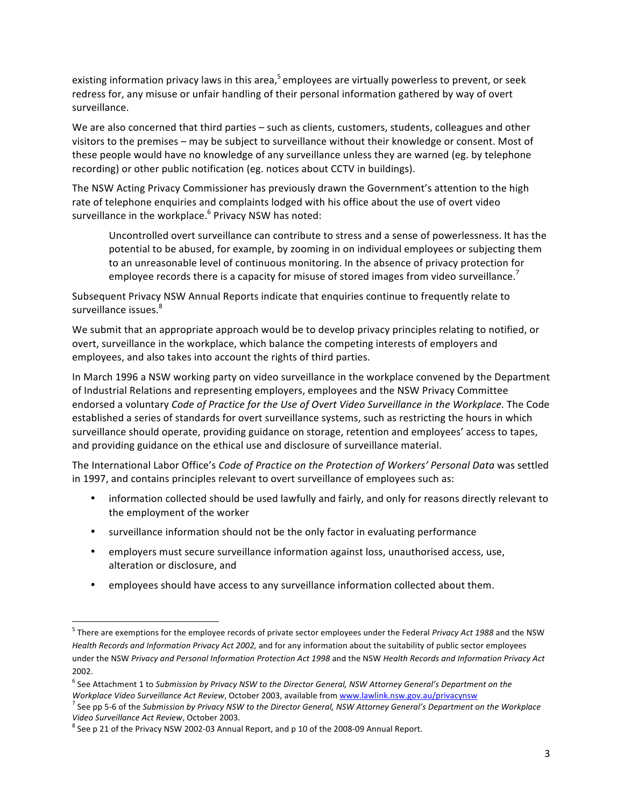existing information privacy laws in this area,<sup>5</sup> employees are virtually powerless to prevent, or seek redress for, any misuse or unfair handling of their personal information gathered by way of overt surveillance.

We are also concerned that third parties – such as clients, customers, students, colleagues and other visitors to the premises – may be subject to surveillance without their knowledge or consent. Most of these people would have no knowledge of any surveillance unless they are warned (eg. by telephone recording) or other public notification (eg. notices about CCTV in buildings).

The NSW Acting Privacy Commissioner has previously drawn the Government's attention to the high rate of telephone enquiries and complaints lodged with his office about the use of overt video surveillance in the workplace.<sup>6</sup> Privacy NSW has noted:

Uncontrolled overt surveillance can contribute to stress and a sense of powerlessness. It has the potential to be abused, for example, by zooming in on individual employees or subjecting them to an unreasonable level of continuous monitoring. In the absence of privacy protection for employee records there is a capacity for misuse of stored images from video surveillance.<sup>7</sup>

Subsequent Privacy NSW Annual Reports indicate that enquiries continue to frequently relate to surveillance issues.<sup>8</sup>

We submit that an appropriate approach would be to develop privacy principles relating to notified, or overt, surveillance in the workplace, which balance the competing interests of employers and employees, and also takes into account the rights of third parties.

In March 1996 a NSW working party on video surveillance in the workplace convened by the Department of Industrial Relations and representing employers, employees and the NSW Privacy Committee endorsed a voluntary *Code of Practice for the Use of Overt Video Surveillance in the Workplace.* The Code established a series of standards for overt surveillance systems, such as restricting the hours in which surveillance should operate, providing guidance on storage, retention and employees' access to tapes, and providing guidance on the ethical use and disclosure of surveillance material.

The International Labor Office's *Code of Practice on the Protection of Workers' Personal Data* was settled in 1997, and contains principles relevant to overt surveillance of employees such as:

- information collected should be used lawfully and fairly, and only for reasons directly relevant to the employment of the worker
- surveillance information should not be the only factor in evaluating performance
- employers must secure surveillance information against loss, unauthorised access, use, alteration or disclosure, and
- employees should have access to any surveillance information collected about them.

<sup>!!!!!!!!!!!!!!!!!!!!!!!!!!!!!!!!!!!!!!!!!!!!!!!!!!!!!!!!!!!!</sup> <sup>5</sup> !There!are!exemptions!for!the!employee!records!of!private!sector!employees!under!the!Federal!*Privacy\*Act\*1988\**and!the!NSW! Health Records and Information Privacy Act 2002, and for any information about the suitability of public sector employees under the NSW Privacy and Personal Information Protection Act 1998 and the NSW *Health Records and Information Privacy Act* 2002.

<sup>&</sup>lt;sup>6</sup> See Attachment 1 to Submission by Privacy NSW to the Director General, NSW Attorney General's Department on the Workplace Video Surveillance Act Review, October 2003, available from www.lawlink.nsw.gov.au/privacynsw

<sup>&</sup>lt;sup>7</sup> See pp 5-6 of the Submission by Privacy NSW to the Director General, NSW Attorney General's Department on the Workplace Video Surveillance Act Review, October 2003.

 $8$  See p 21 of the Privacy NSW 2002-03 Annual Report, and p 10 of the 2008-09 Annual Report.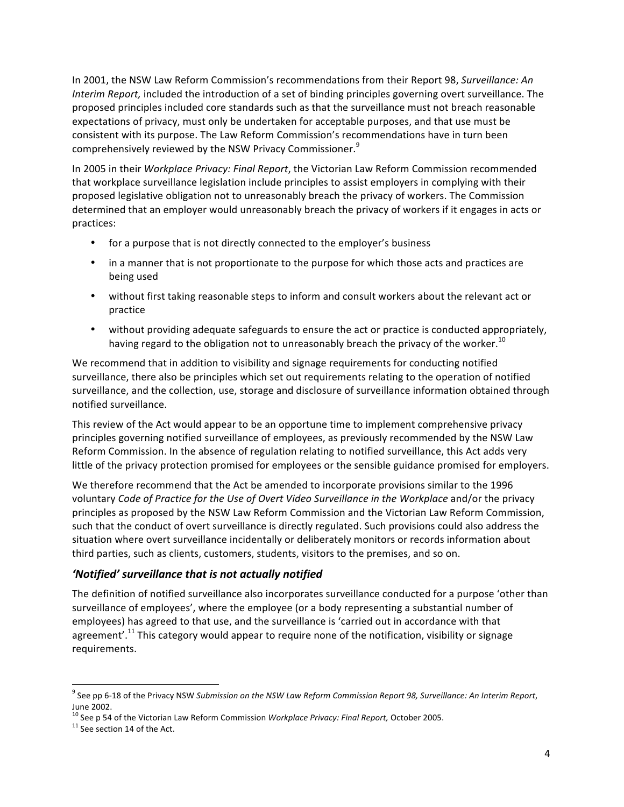In 2001, the NSW Law Reform Commission's recommendations from their Report 98, *Surveillance: An Interim Report,* included the introduction of a set of binding principles governing overt surveillance. The proposed principles included core standards such as that the surveillance must not breach reasonable expectations of privacy, must only be undertaken for acceptable purposes, and that use must be consistent with its purpose. The Law Reform Commission's recommendations have in turn been comprehensively reviewed by the NSW Privacy Commissioner.<sup>9</sup>

In 2005 in their *Workplace Privacy: Final Report*, the Victorian Law Reform Commission recommended that workplace surveillance legislation include principles to assist employers in complying with their proposed legislative obligation not to unreasonably breach the privacy of workers. The Commission determined that an employer would unreasonably breach the privacy of workers if it engages in acts or practices:

- for a purpose that is not directly connected to the employer's business
- in a manner that is not proportionate to the purpose for which those acts and practices are being used
- without first taking reasonable steps to inform and consult workers about the relevant act or practice
- without providing adequate safeguards to ensure the act or practice is conducted appropriately, having regard to the obligation not to unreasonably breach the privacy of the worker.<sup>10</sup>

We recommend that in addition to visibility and signage requirements for conducting notified surveillance, there also be principles which set out requirements relating to the operation of notified surveillance, and the collection, use, storage and disclosure of surveillance information obtained through notified surveillance.

This review of the Act would appear to be an opportune time to implement comprehensive privacy principles governing notified surveillance of employees, as previously recommended by the NSW Law Reform Commission. In the absence of regulation relating to notified surveillance, this Act adds very little of the privacy protection promised for employees or the sensible guidance promised for employers.

We therefore recommend that the Act be amended to incorporate provisions similar to the 1996 voluntary *Code of Practice for the Use of Overt Video Surveillance in the Workplace and/or the privacy* principles as proposed by the NSW Law Reform Commission and the Victorian Law Reform Commission, such that the conduct of overt surveillance is directly regulated. Such provisions could also address the situation where overt surveillance incidentally or deliberately monitors or records information about third parties, such as clients, customers, students, visitors to the premises, and so on.

# 'Notified' surveillance that is not actually notified

The definition of notified surveillance also incorporates surveillance conducted for a purpose 'other than surveillance of employees', where the employee (or a body representing a substantial number of employees) has agreed to that use, and the surveillance is 'carried out in accordance with that agreement'.<sup>11</sup> This category would appear to require none of the notification, visibility or signage requirements.

<sup>&</sup>lt;u>.</u><br><sup>9</sup> See pp 6-18 of the Privacy NSW *Submission on the NSW Law Reform Commission Report 98, Surveillance: An Interim Report,* June 2002.

<sup>&</sup>lt;sup>10</sup> See p 54 of the Victorian Law Reform Commission *Workplace Privacy: Final Report,* October 2005. <sup>11</sup> See section 14 of the Act.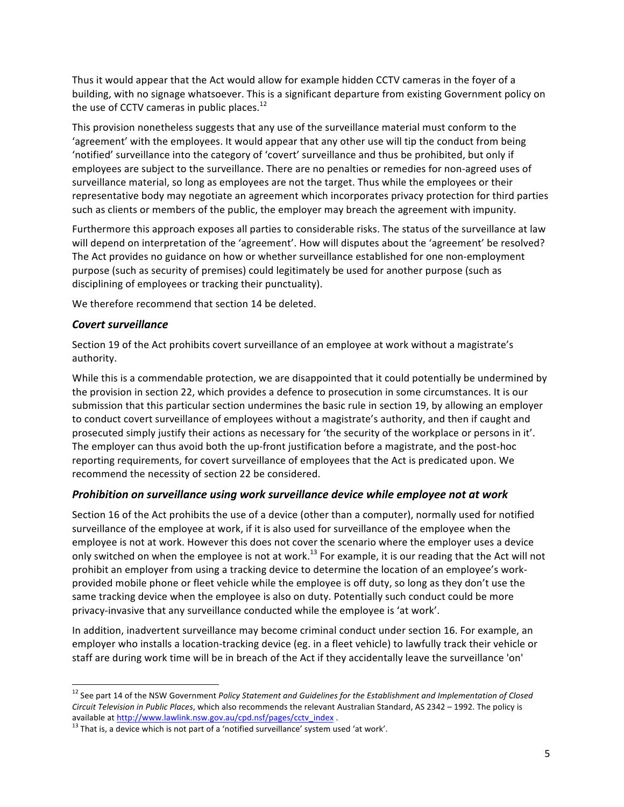Thus it would appear that the Act would allow for example hidden CCTV cameras in the foyer of a building, with no signage whatsoever. This is a significant departure from existing Government policy on the use of CCTV cameras in public places.<sup>12</sup>

This provision nonetheless suggests that any use of the surveillance material must conform to the 'agreement' with the employees. It would appear that any other use will tip the conduct from being 'notified' surveillance into the category of 'covert' surveillance and thus be prohibited, but only if employees are subject to the surveillance. There are no penalties or remedies for non-agreed uses of surveillance material, so long as employees are not the target. Thus while the employees or their representative body may negotiate an agreement which incorporates privacy protection for third parties such as clients or members of the public, the employer may breach the agreement with impunity.

Furthermore this approach exposes all parties to considerable risks. The status of the surveillance at law will depend on interpretation of the 'agreement'. How will disputes about the 'agreement' be resolved? The Act provides no guidance on how or whether surveillance established for one non-employment purpose (such as security of premises) could legitimately be used for another purpose (such as disciplining of employees or tracking their punctuality).

We therefore recommend that section 14 be deleted.

## *Covert!surveillance*

Section 19 of the Act prohibits covert surveillance of an employee at work without a magistrate's authority.

While this is a commendable protection, we are disappointed that it could potentially be undermined by the provision in section 22, which provides a defence to prosecution in some circumstances. It is our submission that this particular section undermines the basic rule in section 19, by allowing an employer to conduct covert surveillance of employees without a magistrate's authority, and then if caught and prosecuted simply justify their actions as necessary for 'the security of the workplace or persons in it'. The employer can thus avoid both the up-front justification before a magistrate, and the post-hoc reporting requirements, for covert surveillance of employees that the Act is predicated upon. We recommend the necessity of section 22 be considered.

#### *Prohibition on surveillance using work surveillance device while employee not at work*

Section 16 of the Act prohibits the use of a device (other than a computer), normally used for notified surveillance of the employee at work, if it is also used for surveillance of the employee when the employee is not at work. However this does not cover the scenario where the employer uses a device only switched on when the employee is not at work.<sup>13</sup> For example, it is our reading that the Act will not prohibit an employer from using a tracking device to determine the location of an employee's workprovided mobile phone or fleet vehicle while the employee is off duty, so long as they don't use the same tracking device when the employee is also on duty. Potentially such conduct could be more privacy-invasive that any surveillance conducted while the employee is 'at work'.

In addition, inadvertent surveillance may become criminal conduct under section 16. For example, an employer who installs a location-tracking device (eg. in a fleet vehicle) to lawfully track their vehicle or staff are during work time will be in breach of the Act if they accidentally leave the surveillance 'on'

<sup>&</sup>lt;sup>12</sup> See part 14 of the NSW Government Policy Statement and Guidelines for the Establishment and Implementation of Closed *Circuit Television in Public Places,* which also recommends the relevant Australian Standard, AS 2342 - 1992. The policy is available at http://www.lawlink.nsw.gov.au/cpd.nsf/pages/cctv\_index .<br><sup>13</sup> That is, a device which is not part of a 'notified surveillance' system used 'at work'.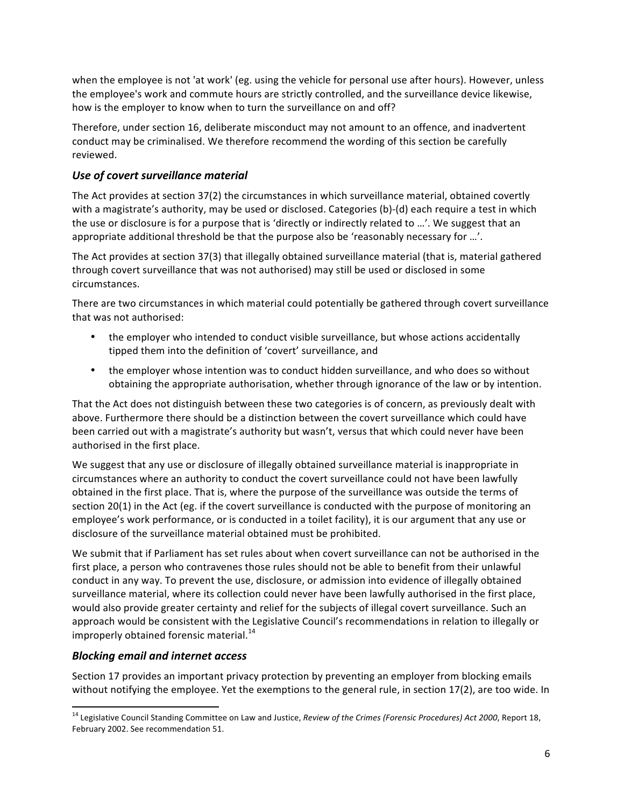when the employee is not 'at work' (eg. using the vehicle for personal use after hours). However, unless the employee's work and commute hours are strictly controlled, and the surveillance device likewise, how is the employer to know when to turn the surveillance on and off?

Therefore, under section 16, deliberate misconduct may not amount to an offence, and inadvertent conduct may be criminalised. We therefore recommend the wording of this section be carefully reviewed.

# **Use of covert surveillance material**

The Act provides at section 37(2) the circumstances in which surveillance material, obtained covertly with a magistrate's authority, may be used or disclosed. Categories (b)-(d) each require a test in which the use or disclosure is for a purpose that is 'directly or indirectly related to …'. We suggest that an appropriate additional threshold be that the purpose also be 'reasonably necessary for …'.

The Act provides at section 37(3) that illegally obtained surveillance material (that is, material gathered through covert surveillance that was not authorised) may still be used or disclosed in some circumstances.

There are two circumstances in which material could potentially be gathered through covert surveillance that was not authorised:

- the employer who intended to conduct visible surveillance, but whose actions accidentally tipped them into the definition of 'covert' surveillance, and
- the employer whose intention was to conduct hidden surveillance, and who does so without obtaining the appropriate authorisation, whether through ignorance of the law or by intention.

That the Act does not distinguish between these two categories is of concern, as previously dealt with above. Furthermore there should be a distinction between the covert surveillance which could have been carried out with a magistrate's authority but wasn't, versus that which could never have been authorised in the first place.

We suggest that any use or disclosure of illegally obtained surveillance material is inappropriate in circumstances where an authority to conduct the covert surveillance could not have been lawfully obtained in the first place. That is, where the purpose of the surveillance was outside the terms of section 20(1) in the Act (eg. if the covert surveillance is conducted with the purpose of monitoring an employee's work performance, or is conducted in a toilet facility), it is our argument that any use or disclosure of the surveillance material obtained must be prohibited.

We submit that if Parliament has set rules about when covert surveillance can not be authorised in the first place, a person who contravenes those rules should not be able to benefit from their unlawful conduct in any way. To prevent the use, disclosure, or admission into evidence of illegally obtained surveillance material, where its collection could never have been lawfully authorised in the first place, would also provide greater certainty and relief for the subjects of illegal covert surveillance. Such an approach would be consistent with the Legislative Council's recommendations in relation to illegally or improperly obtained forensic material.<sup>14</sup>

# *Blocking!email!and!internet!access*

Section 17 provides an important privacy protection by preventing an employer from blocking emails without notifying the employee. Yet the exemptions to the general rule, in section 17(2), are too wide. In

<sup>&</sup>lt;sup>14</sup> Legislative Council Standing Committee on Law and Justice, *Review of the Crimes (Forensic Procedures) Act 2000*, Report 18, February 2002. See recommendation 51.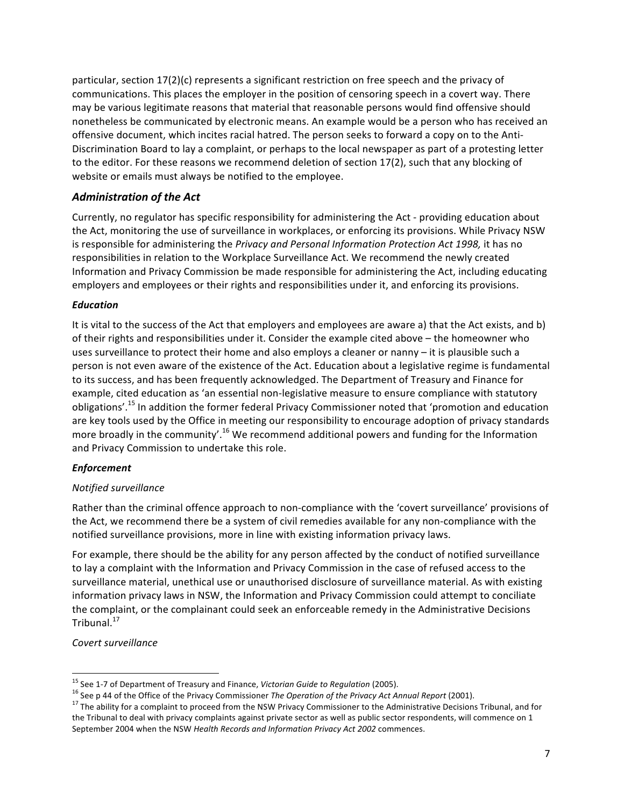particular, section  $17(2)(c)$  represents a significant restriction on free speech and the privacy of communications. This places the employer in the position of censoring speech in a covert way. There may be various legitimate reasons that material that reasonable persons would find offensive should nonetheless be communicated by electronic means. An example would be a person who has received an offensive document, which incites racial hatred. The person seeks to forward a copy on to the Anti-Discrimination Board to lay a complaint, or perhaps to the local newspaper as part of a protesting letter to the editor. For these reasons we recommend deletion of section 17(2), such that any blocking of website or emails must always be notified to the employee.

## *Administration!of!the!Act*

Currently, no regulator has specific responsibility for administering the Act - providing education about the Act, monitoring the use of surveillance in workplaces, or enforcing its provisions. While Privacy NSW is responsible for administering the *Privacy and Personal Information Protection Act 1998*, it has no responsibilities in relation to the Workplace Surveillance Act. We recommend the newly created Information and Privacy Commission be made responsible for administering the Act, including educating employers and employees or their rights and responsibilities under it, and enforcing its provisions.

#### *Education*

It is vital to the success of the Act that employers and employees are aware a) that the Act exists, and b) of their rights and responsibilities under it. Consider the example cited above – the homeowner who uses surveillance to protect their home and also employs a cleaner or nanny – it is plausible such a person is not even aware of the existence of the Act. Education about a legislative regime is fundamental to its success, and has been frequently acknowledged. The Department of Treasury and Finance for example, cited education as 'an essential non-legislative measure to ensure compliance with statutory obligations'.<sup>15</sup> In addition the former federal Privacy Commissioner noted that 'promotion and education are key tools used by the Office in meeting our responsibility to encourage adoption of privacy standards more broadly in the community'.<sup>16</sup> We recommend additional powers and funding for the Information and Privacy Commission to undertake this role.

#### *Enforcement*

#### *Notified\*surveillance*

Rather than the criminal offence approach to non-compliance with the 'covert surveillance' provisions of the Act, we recommend there be a system of civil remedies available for any non-compliance with the notified surveillance provisions, more in line with existing information privacy laws.

For example, there should be the ability for any person affected by the conduct of notified surveillance to lay a complaint with the Information and Privacy Commission in the case of refused access to the surveillance material, unethical use or unauthorised disclosure of surveillance material. As with existing information privacy laws in NSW, the Information and Privacy Commission could attempt to conciliate the complaint, or the complainant could seek an enforceable remedy in the Administrative Decisions Tribunal.<sup>17</sup>

#### *Covert\*surveillance*

<sup>&</sup>lt;sup>15</sup> See 1-7 of Department of Treasury and Finance, *Victorian Guide to Regulation* (2005).<br><sup>16</sup> See p 44 of the Office of the Privacy Commissioner *The Operation of the Privacy Act Annual Report* (2001).<br><sup>17</sup> The ability the Tribunal to deal with privacy complaints against private sector as well as public sector respondents, will commence on 1 September 2004 when the NSW *Health Records and Information Privacy Act 2002* commences.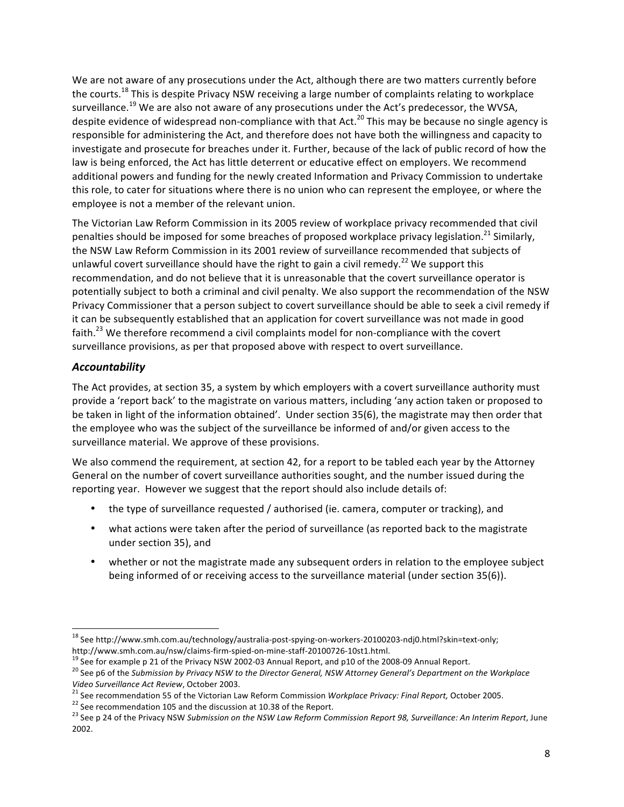We are not aware of any prosecutions under the Act, although there are two matters currently before the courts.<sup>18</sup> This is despite Privacy NSW receiving a large number of complaints relating to workplace surveillance.<sup>19</sup> We are also not aware of any prosecutions under the Act's predecessor, the WVSA, despite evidence of widespread non-compliance with that Act.<sup>20</sup> This may be because no single agency is responsible for administering the Act, and therefore does not have both the willingness and capacity to investigate and prosecute for breaches under it. Further, because of the lack of public record of how the law is being enforced, the Act has little deterrent or educative effect on employers. We recommend additional powers and funding for the newly created Information and Privacy Commission to undertake this role, to cater for situations where there is no union who can represent the employee, or where the employee is not a member of the relevant union.

The Victorian Law Reform Commission in its 2005 review of workplace privacy recommended that civil penalties should be imposed for some breaches of proposed workplace privacy legislation.<sup>21</sup> Similarly, the NSW Law Reform Commission in its 2001 review of surveillance recommended that subjects of unlawful covert surveillance should have the right to gain a civil remedy.<sup>22</sup> We support this recommendation, and do not believe that it is unreasonable that the covert surveillance operator is potentially subject to both a criminal and civil penalty. We also support the recommendation of the NSW Privacy Commissioner that a person subject to covert surveillance should be able to seek a civil remedy if it can be subsequently established that an application for covert surveillance was not made in good faith.<sup>23</sup> We therefore recommend a civil complaints model for non-compliance with the covert surveillance provisions, as per that proposed above with respect to overt surveillance.

# *Accountability*

The Act provides, at section 35, a system by which employers with a covert surveillance authority must provide a 'report back' to the magistrate on various matters, including 'any action taken or proposed to be taken in light of the information obtained'. Under section 35(6), the magistrate may then order that the employee who was the subject of the surveillance be informed of and/or given access to the surveillance material. We approve of these provisions.

We also commend the requirement, at section 42, for a report to be tabled each year by the Attorney General on the number of covert surveillance authorities sought, and the number issued during the reporting year. However we suggest that the report should also include details of:

- the type of surveillance requested / authorised (ie. camera, computer or tracking), and
- what actions were taken after the period of surveillance (as reported back to the magistrate under section 35), and
- whether or not the magistrate made any subsequent orders in relation to the employee subject being informed of or receiving access to the surveillance material (under section 35(6)).

<sup>&</sup>lt;sup>18</sup> See http://www.smh.com.au/technology/australia-post-spying-on-workers-20100203-ndj0.html?skin=text-only;<br>http://www.smh.com.au/nsw/claims-firm-spied-on-mine-staff-20100726-10st1.html.

<sup>&</sup>lt;sup>19</sup> See for example p 21 of the Privacy NSW 2002-03 Annual Report, and p10 of the 2008-09 Annual Report.<br><sup>20</sup> See p6 of the Submission by Privacy NSW to the Director General, NSW Attorney General's Department on the Workp

Video Surveillance Act Review, October 2003.<br><sup>21</sup> See recommendation 55 of the Victorian Law Reform Commission Workplace Privacy: Final Report, October 2005.<br><sup>22</sup> See recommendation 105 and the discussion at 10.38 of the R

<sup>&</sup>lt;sup>23</sup> See p 24 of the Privacy NSW *Submission on the NSW Law Reform Commission Report 98, Surveillance: An Interim Report, June* 2002.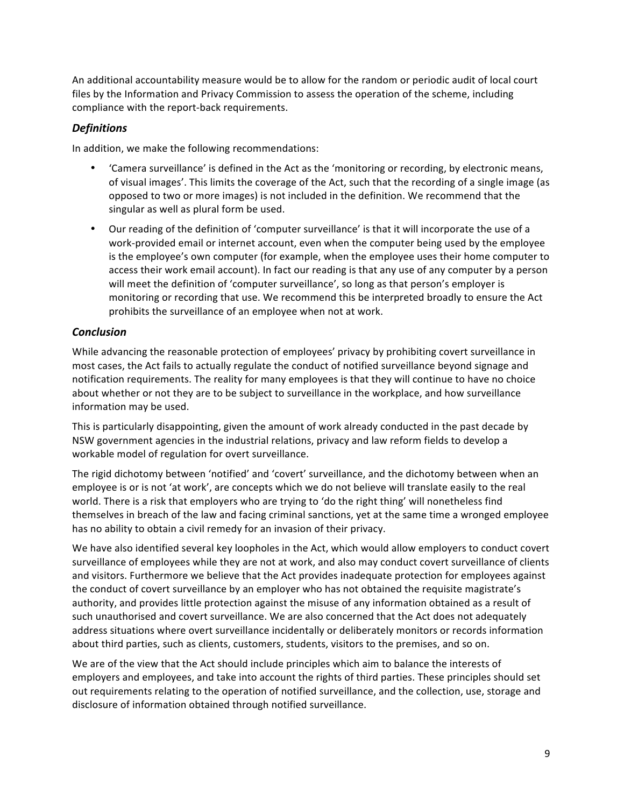An additional accountability measure would be to allow for the random or periodic audit of local court files by the Information and Privacy Commission to assess the operation of the scheme, including compliance with the report-back requirements.

## *Definitions*

In addition, we make the following recommendations:

- 'Camera surveillance' is defined in the Act as the 'monitoring or recording, by electronic means, of visual images'. This limits the coverage of the Act, such that the recording of a single image (as opposed to two or more images) is not included in the definition. We recommend that the singular as well as plural form be used.
- Our reading of the definition of 'computer surveillance' is that it will incorporate the use of a work-provided email or internet account, even when the computer being used by the employee is the employee's own computer (for example, when the employee uses their home computer to access their work email account). In fact our reading is that any use of any computer by a person will meet the definition of 'computer surveillance', so long as that person's employer is monitoring or recording that use. We recommend this be interpreted broadly to ensure the Act prohibits the surveillance of an employee when not at work.

## *Conclusion*

While advancing the reasonable protection of employees' privacy by prohibiting covert surveillance in most cases, the Act fails to actually regulate the conduct of notified surveillance beyond signage and notification requirements. The reality for many employees is that they will continue to have no choice about whether or not they are to be subject to surveillance in the workplace, and how surveillance information may be used.

This is particularly disappointing, given the amount of work already conducted in the past decade by NSW government agencies in the industrial relations, privacy and law reform fields to develop a workable model of regulation for overt surveillance.

The rigid dichotomy between 'notified' and 'covert' surveillance, and the dichotomy between when an employee is or is not 'at work', are concepts which we do not believe will translate easily to the real world. There is a risk that employers who are trying to 'do the right thing' will nonetheless find themselves in breach of the law and facing criminal sanctions, yet at the same time a wronged employee has no ability to obtain a civil remedy for an invasion of their privacy.

We have also identified several key loopholes in the Act, which would allow employers to conduct covert surveillance of employees while they are not at work, and also may conduct covert surveillance of clients and visitors. Furthermore we believe that the Act provides inadequate protection for employees against the conduct of covert surveillance by an employer who has not obtained the requisite magistrate's authority, and provides little protection against the misuse of any information obtained as a result of such unauthorised and covert surveillance. We are also concerned that the Act does not adequately address situations where overt surveillance incidentally or deliberately monitors or records information about third parties, such as clients, customers, students, visitors to the premises, and so on.

We are of the view that the Act should include principles which aim to balance the interests of employers and employees, and take into account the rights of third parties. These principles should set out requirements relating to the operation of notified surveillance, and the collection, use, storage and disclosure of information obtained through notified surveillance.